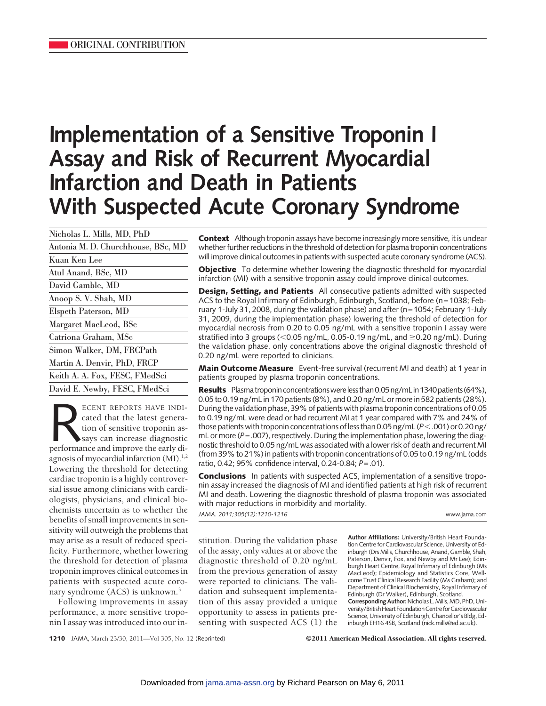# **Implementation of a Sensitive Troponin I Assay and Risk of Recurrent Myocardial Infarction and Death in Patients With Suspected Acute Coronary Syndrome**

| Nicholas L. Mills, MD, PhD         |
|------------------------------------|
| Antonia M. D. Churchhouse, BSc, MD |
| Kuan Ken Lee                       |
| Atul Anand, BSc, MD                |
| David Gamble, MD                   |
| Anoop S. V. Shah, MD               |
| Elspeth Paterson, MD               |
| Margaret MacLeod, BSc              |
| Catriona Graham, MSc               |
| Simon Walker, DM, FRCPath          |
| Martin A. Denvir, PhD, FRCP        |
| Keith A. A. Fox, FESC, FMedSci     |
| David E. Newby, FESC, FMedSci      |

ECENT REPORTS HAVE INDI-<br>cated that the latest genera-<br>tion of sensitive troponin as-<br>says can increase diagnostic<br>performance and improve the early dicated that the latest generation of sensitive troponin assays can increase diagnostic agnosis of myocardial infarction  $(MI)^{1,2}$ . Lowering the threshold for detecting cardiac troponin is a highly controversial issue among clinicians with cardiologists, physicians, and clinical biochemists uncertain as to whether the benefits of small improvements in sensitivity will outweigh the problems that may arise as a result of reduced specificity. Furthermore, whether lowering the threshold for detection of plasma troponin improves clinical outcomes in patients with suspected acute coronary syndrome (ACS) is unknown.<sup>3</sup>

Following improvements in assay performance, a more sensitive troponin I assay was introduced into our in**Context** Although troponin assays have become increasingly more sensitive, it is unclear whether further reductions in the threshold of detection for plasma troponin concentrations will improve clinical outcomes in patients with suspected acute coronary syndrome (ACS).

**Objective** To determine whether lowering the diagnostic threshold for myocardial infarction (MI) with a sensitive troponin assay could improve clinical outcomes.

**Design, Setting, and Patients** All consecutive patients admitted with suspected ACS to the Royal Infirmary of Edinburgh, Edinburgh, Scotland, before (n=1038; February 1-July 31, 2008, during the validation phase) and after (n=1054; February 1-July 31, 2009, during the implementation phase) lowering the threshold of detection for myocardial necrosis from 0.20 to 0.05 ng/mL with a sensitive troponin I assay were stratified into 3 groups (<0.05 ng/mL, 0.05-0.19 ng/mL, and ≥0.20 ng/mL). During the validation phase, only concentrations above the original diagnostic threshold of 0.20 ng/mL were reported to clinicians.

**Main Outcome Measure** Event-free survival (recurrent MI and death) at 1 year in patients grouped by plasma troponin concentrations.

**Results** Plasma troponin concentrations were less than 0.05 ng/mL in 1340 patients (64%), 0.05 to 0.19 ng/mL in 170 patients (8%), and 0.20 ng/mL or more in 582 patients (28%). During the validation phase, 39% of patients with plasma troponin concentrations of 0.05 to 0.19 ng/mL were dead or had recurrent MI at 1 year compared with 7% and 24% of those patients with troponin concentrations of less than 0.05 ng/mL (*P*-.001) or 0.20 ng/ mL or more (P = .007), respectively. During the implementation phase, lowering the diagnostic threshold to 0.05 ng/mL was associated with a lower risk of death and recurrentMI (from 39% to 21%) in patients with troponin concentrations of 0.05 to 0.19 ng/mL (odds ratio, 0.42; 95% confidence interval, 0.24-0.84; *P*=.01).

**Conclusions** In patients with suspected ACS, implementation of a sensitive troponin assay increased the diagnosis of MI and identified patients at high risk of recurrent MI and death. Lowering the diagnostic threshold of plasma troponin was associated with major reductions in morbidity and mortality.

*JAMA. 2011;305(12):1210-1216* www.jama.com

stitution. During the validation phase of the assay, only values at or above the diagnostic threshold of 0.20 ng/mL from the previous generation of assay were reported to clinicians. The validation and subsequent implementation of this assay provided a unique opportunity to assess in patients presenting with suspected ACS (1) the

**Author Affiliations:** University/British Heart Foundation Centre for Cardiovascular Science, University of Edinburgh (Drs Mills, Churchhouse, Anand, Gamble, Shah, Paterson, Denvir, Fox, and Newby and Mr Lee); Edinburgh Heart Centre, Royal Infirmary of Edinburgh (Ms MacLeod); Epidemiology and Statistics Core, Wellcome Trust Clinical Research Facility (Ms Graham); and Department of Clinical Biochemistry, Royal Infirmary of Edinburgh (Dr Walker), Edinburgh, Scotland. **CorrespondingAuthor:**Nicholas L.Mills,MD, PhD, University/British Heart Foundation Centre for Cardiovascular Science, University of Edinburgh, Chancellor's Bldg, Edinburgh EH16 4SB, Scotland (nick.mills@ed.ac.uk).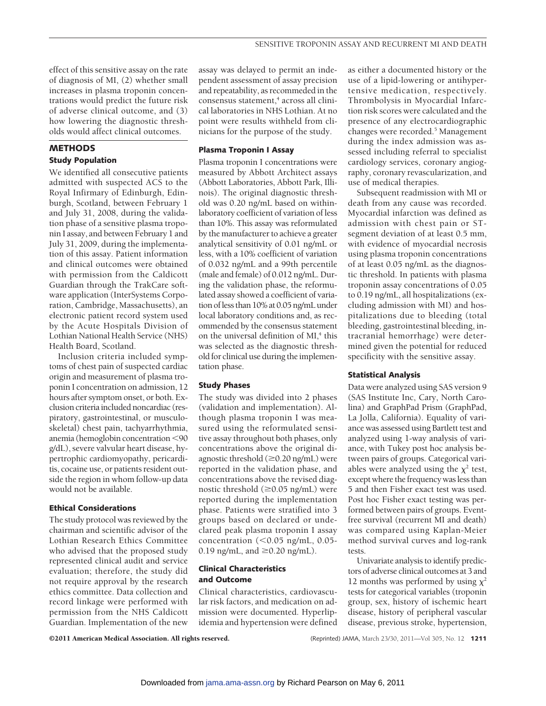effect of this sensitive assay on the rate of diagnosis of MI, (2) whether small increases in plasma troponin concentrations would predict the future risk of adverse clinical outcome, and (3) how lowering the diagnostic thresholds would affect clinical outcomes.

# **METHODS Study Population**

We identified all consecutive patients admitted with suspected ACS to the Royal Infirmary of Edinburgh, Edinburgh, Scotland, between February 1 and July 31, 2008, during the validation phase of a sensitive plasma troponin I assay, and between February 1 and July 31, 2009, during the implementation of this assay. Patient information and clinical outcomes were obtained with permission from the Caldicott Guardian through the TrakCare software application (InterSystems Corporation, Cambridge, Massachusetts), an electronic patient record system used by the Acute Hospitals Division of Lothian National Health Service (NHS) Health Board, Scotland.

Inclusion criteria included symptoms of chest pain of suspected cardiac origin and measurement of plasma troponin I concentration on admission, 12 hours after symptom onset, or both. Exclusion criteria included noncardiac (respiratory, gastrointestinal, or musculoskeletal) chest pain, tachyarrhythmia, anemia (hemoglobin concentration <90 g/dL), severe valvular heart disease, hypertrophic cardiomyopathy, pericarditis, cocaine use, or patients resident outside the region in whom follow-up data would not be available.

## **Ethical Considerations**

The study protocol was reviewed by the chairman and scientific advisor of the Lothian Research Ethics Committee who advised that the proposed study represented clinical audit and service evaluation; therefore, the study did not require approval by the research ethics committee. Data collection and record linkage were performed with permission from the NHS Caldicott Guardian. Implementation of the new

assay was delayed to permit an independent assessment of assay precision and repeatability, as recommeded in the consensus statement,<sup>4</sup> across all clinical laboratories in NHS Lothian. At no point were results withheld from clinicians for the purpose of the study.

## **Plasma Troponin I Assay**

Plasma troponin I concentrations were measured by Abbott Architect assays (Abbott Laboratories, Abbott Park, Illinois). The original diagnostic threshold was 0.20 ng/mL based on withinlaboratory coefficient of variation of less than 10%. This assay was reformulated by the manufacturer to achieve a greater analytical sensitivity of 0.01 ng/mL or less, with a 10% coefficient of variation of 0.032 ng/mL and a 99th percentile (male and female) of 0.012 ng/mL. During the validation phase, the reformulated assay showed a coefficient of variation ofless than 10% at 0.05 ng/mL under local laboratory conditions and, as recommended by the consensus statement on the universal definition of  $MI$ <sup>4</sup>, this was selected as the diagnostic threshold for clinical use during the implementation phase.

#### **Study Phases**

The study was divided into 2 phases (validation and implementation). Although plasma troponin I was measured using the reformulated sensitive assay throughout both phases, only concentrations above the original diagnostic threshold  $(\geq 0.20$  ng/mL) were reported in the validation phase, and concentrations above the revised diagnostic threshold  $(\geq 0.05$  ng/mL) were reported during the implementation phase. Patients were stratified into 3 groups based on declared or undeclared peak plasma troponin I assay concentration (<0.05 ng/mL, 0.05-0.19 ng/mL, and  $\geq$ 0.20 ng/mL).

# **Clinical Characteristics and Outcome**

Clinical characteristics, cardiovascular risk factors, and medication on admission were documented. Hyperlipidemia and hypertension were defined as either a documented history or the use of a lipid-lowering or antihypertensive medication, respectively. Thrombolysis in Myocardial Infarction risk scores were calculated and the presence of any electrocardiographic changes were recorded.<sup>5</sup> Management during the index admission was assessed including referral to specialist cardiology services, coronary angiography, coronary revascularization, and use of medical therapies.

Subsequent readmission with MI or death from any cause was recorded. Myocardial infarction was defined as admission with chest pain or STsegment deviation of at least 0.5 mm, with evidence of myocardial necrosis using plasma troponin concentrations of at least 0.05 ng/mL as the diagnostic threshold. In patients with plasma troponin assay concentrations of 0.05 to 0.19 ng/mL, all hospitalizations (excluding admission with MI) and hospitalizations due to bleeding (total bleeding, gastrointestinal bleeding, intracranial hemorrhage) were determined given the potential for reduced specificity with the sensitive assay.

## **Statistical Analysis**

Data were analyzed using SAS version 9 (SAS Institute Inc, Cary, North Carolina) and GraphPad Prism (GraphPad, La Jolla, California). Equality of variance was assessed using Bartlett test and analyzed using 1-way analysis of variance, with Tukey post hoc analysis between pairs of groups. Categorical variables were analyzed using the  $\chi^2$  test, except where the frequency was less than 5 and then Fisher exact test was used. Post hoc Fisher exact testing was performed between pairs of groups. Eventfree survival (recurrent MI and death) was compared using Kaplan-Meier method survival curves and log-rank tests.

Univariate analysis to identify predictors of adverse clinical outcomes at 3 and 12 months was performed by using  $\chi^2$ tests for categorical variables (troponin group, sex, history of ischemic heart disease, history of peripheral vascular disease, previous stroke, hypertension,

©2011 American Medical Association. All rights reserved. (Reprinted) JAMA, March 23/30, 2011—Vol 305, No. 12 **1211**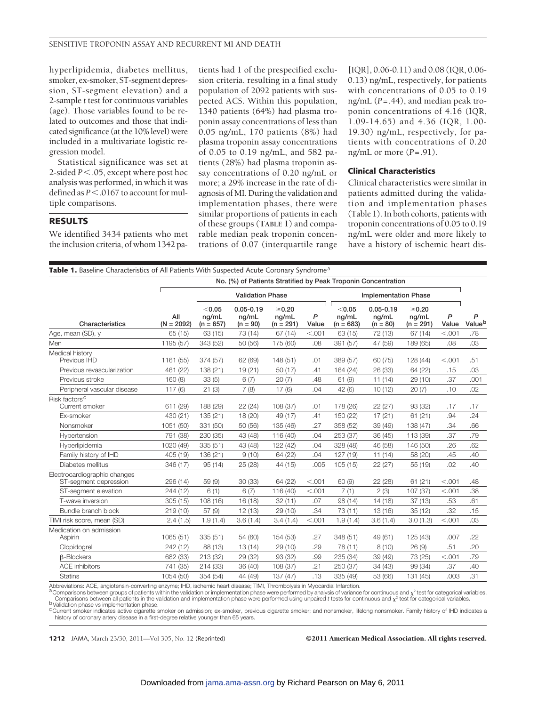hyperlipidemia, diabetes mellitus, smoker, ex-smoker, ST-segment depression, ST-segment elevation) and a 2-sample *t* test for continuous variables (age). Those variables found to be related to outcomes and those that indicated significance (at the 10% level) were included in a multivariate logistic regression model.

Statistical significance was set at 2-sided  $P < 0.05$ , except where post hoc analysis was performed, in which it was defined as  $P < 0.0167$  to account for multiple comparisons.

## **RESULTS**

We identified 3434 patients who met the inclusion criteria, of whom 1342 patients had 1 of the prespecified exclusion criteria, resulting in a final study population of 2092 patients with suspected ACS. Within this population, 1340 patients (64%) had plasma troponin assay concentrations of less than 0.05 ng/mL, 170 patients (8%) had plasma troponin assay concentrations of 0.05 to 0.19 ng/mL, and 582 patients (28%) had plasma troponin assay concentrations of 0.20 ng/mL or more; a 29% increase in the rate of diagnosis of MI. During the validation and implementation phases, there were similar proportions of patients in each of these groups (**TABLE 1**) and comparable median peak troponin concentrations of 0.07 (interquartile range

[IQR], 0.06-0.11) and 0.08 (IQR, 0.06- 0.13) ng/mL, respectively, for patients with concentrations of 0.05 to 0.19 ng/mL (*P*=.44), and median peak troponin concentrations of 4.16 (IQR, 1.09-14.65) and 4.36 (IQR, 1.00- 19.30) ng/mL, respectively, for patients with concentrations of 0.20 ng/mL or more (*P*=.91).

#### **Clinical Characteristics**

Clinical characteristics were similar in patients admitted during the validation and implementation phases (Table 1). In both cohorts, patients with troponin concentrations of 0.05 to 0.19 ng/mL were older and more likely to have a history of ischemic heart dis-

| Table 1. Baseline Characteristics of All Patients With Suspected Acute Coronary Syndrome <sup>a</sup> |                     |                                                               |                                      |                                     |            |                                |                                      |                                     |            |             |
|-------------------------------------------------------------------------------------------------------|---------------------|---------------------------------------------------------------|--------------------------------------|-------------------------------------|------------|--------------------------------|--------------------------------------|-------------------------------------|------------|-------------|
|                                                                                                       |                     | No. (%) of Patients Stratified by Peak Troponin Concentration |                                      |                                     |            |                                |                                      |                                     |            |             |
|                                                                                                       |                     | <b>Validation Phase</b>                                       |                                      |                                     |            | <b>Implementation Phase</b>    |                                      |                                     |            |             |
| Characteristics                                                                                       | All<br>$(N = 2092)$ | < 0.05<br>ng/mL<br>$(n = 657)$                                | $0.05 - 0.19$<br>ng/mL<br>$(n = 90)$ | $\geq 0.20$<br>ng/mL<br>$(n = 291)$ | P<br>Value | < 0.05<br>ng/mL<br>$(n = 683)$ | $0.05 - 0.19$<br>ng/mL<br>$(n = 80)$ | $\geq 0.20$<br>ng/mL<br>$(n = 291)$ | P<br>Value | P<br>Valueb |
| Age, mean (SD), y                                                                                     | 65 (15)             | 63 (15)                                                       | 73 (14)                              | 67(14)                              | < .001     | 63 (15)                        | 72 (13)                              | 67(14)                              | < .001     | .78         |
| Men                                                                                                   | 1195 (57)           | 343 (52)                                                      | 50 (56)                              | 175 (60)                            | .08        | 391 (57)                       | 47 (59)                              | 189 (65)                            | .08        | .03         |
| Medical history<br>Previous IHD                                                                       | 1161 (55)           | 374 (57)                                                      | 62 (69)                              | 148 (51)                            | .01        | 389 (57)                       | 60 (75)                              | 128 (44)                            | < .001     | .51         |
| Previous revascularization                                                                            | 461 (22)            | 138 (21)                                                      | 19(21)                               | 50(17)                              | .41        | 164 (24)                       | 26 (33)                              | 64 (22)                             | .15        | .03         |
| Previous stroke                                                                                       | 160(8)              | 33(5)                                                         | 6(7)                                 | 20(7)                               | .48        | 61(9)                          | 11(14)                               | 29(10)                              | .37        | .001        |
| Peripheral vascular disease                                                                           | 117(6)              | 21(3)                                                         | 7(8)                                 | 17(6)                               | .04        | 42 (6)                         | 10(12)                               | 20(7)                               | .10        | .02         |
| Risk factors <sup>c</sup><br>Current smoker                                                           | 611 (29)            | 188 (29)                                                      | 22(24)                               | 108 (37)                            | .01        | 178 (26)                       | 22 (27)                              | 93 (32)                             | .17        | .17         |
| Ex-smoker                                                                                             | 430 (21)            | 135 (21)                                                      | 18 (20)                              | 49 (17)                             | .41        | 150 (22)                       | 17(21)                               | 61(21)                              | .94        | .24         |
| Nonsmoker                                                                                             | 1051 (50)           | 331 (50)                                                      | 50 (56)                              | 135 (46)                            | .27        | 358 (52)                       | 39 (49)                              | 138 (47)                            | .34        | .66         |
| Hypertension                                                                                          | 791 (38)            | 230 (35)                                                      | 43 (48)                              | 116 (40)                            | .04        | 253 (37)                       | 36 (45)                              | 113 (39)                            | .37        | .79         |
| Hyperlipidemia                                                                                        | 1020 (49)           | 335 (51)                                                      | 43 (48)                              | 122 (42)                            | .04        | 328 (48)                       | 46 (58)                              | 146 (50)                            | .26        | .62         |
| Family history of IHD                                                                                 | 405 (19)            | 136 (21)                                                      | 9(10)                                | 64 (22)                             | .04        | 127 (19)                       | 11(14)                               | 58 (20)                             | .45        | .40         |
| Diabetes mellitus                                                                                     | 346 (17)            | 95(14)                                                        | 25 (28)                              | 44 (15)                             | .005       | 105(15)                        | 22 (27)                              | 55 (19)                             | .02        | .40         |
| Electrocardiographic changes<br>ST-segment depression                                                 | 296 (14)            | 59 (9)                                                        | 30 (33)                              | 64 (22)                             | < .001     | 60 (9)                         | 22 (28)                              | 61(21)                              | < .001     | .48         |
| ST-segment elevation                                                                                  | 244 (12)            | 6(1)                                                          | 6(7)                                 | 116 (40)                            | < .001     | 7(1)                           | 2(3)                                 | 107 (37)                            | < .001     | .38         |
| T-wave inversion                                                                                      | 305(15)             | 108(16)                                                       | 16 (18)                              | 32(11)                              | .07        | 98 (14)                        | 14(18)                               | 37(13)                              | .53        | .61         |
| Bundle branch block                                                                                   | 219(10)             | 57(9)                                                         | 12(13)                               | 29 (10)                             | .34        | 73 (11)                        | 13(16)                               | 35(12)                              | .32        | .15         |
| TIMI risk score, mean (SD)                                                                            | 2.4(1.5)            | 1.9(1.4)                                                      | 3.6(1.4)                             | 3.4(1.4)                            | < .001     | 1.9(1.4)                       | 3.6(1.4)                             | 3.0(1.3)                            | < .001     | .03         |
| Medication on admission<br>Aspirin                                                                    | 1065 (51)           | 335 (51)                                                      | 54 (60)                              | 154 (53)                            | .27        | 348 (51)                       | 49 (61)                              | 125 (43)                            | .007       | .22         |
| Clopidogrel                                                                                           | 242 (12)            | 88 (13)                                                       | 13(14)                               | 29 (10)                             | .29        | 78 (11)                        | 8(10)                                | 26(9)                               | .51        | .20         |
| <b>B-Blockers</b>                                                                                     | 682 (33)            | 213 (32)                                                      | 29 (32)                              | 93 (32)                             | .99        | 235 (34)                       | 39 (49)                              | 73 (25)                             | < .001     | .79         |
| <b>ACE</b> inhibitors                                                                                 | 741 (35)            | 214 (33)                                                      | 36 (40)                              | 108 (37)                            | .21        | 250 (37)                       | 34 (43)                              | 99 (34)                             | .37        | .40         |
| <b>Statins</b>                                                                                        | 1054 (50)           | 354 (54)                                                      | 44 (49)                              | 137 (47)                            | .13        | 335 (49)                       | 53 (66)                              | 131 (45)                            | .003       | .31         |

Abbreviations: ACE, angiotensin-converting enzyme; IHD, ischemic heart disease; TIMI, Thrombolysis in Myocardial Infarction. ADDreviations: AUC, anglotensin-converting enzyme, in to, isomethic frequencies comparisons in the validation or implementation phase were performed by analysis of variance for continuous and  $\chi^2$  test for categorical va

Comparisons between all patients in the validation and implementation phase were performed using unpaired *t* tests for continuous and  $\chi^2$  test for categorical variables.<br><sup>b</sup>Validation phase vs implementation phase.

<sup>c</sup>Current smoker indicates active cigarette smoker on admission; ex-smoker, previous cigarette smoker; and nonsmoker, lifelong nonsmoker. Family history of IHD indicates a history of coronary artery disease in a first-degree relative younger than 65 years.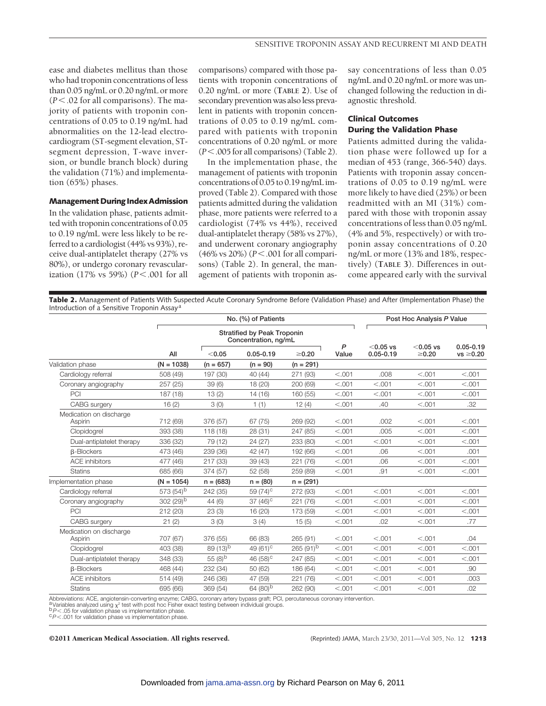ease and diabetes mellitus than those who had troponin concentrations of less than 0.05 ng/mL or 0.20 ng/mL or more (*P*-.02 for all comparisons). The majority of patients with troponin concentrations of 0.05 to 0.19 ng/mL had abnormalities on the 12-lead electrocardiogram (ST-segment elevation, STsegment depression, T-wave inversion, or bundle branch block) during the validation (71%) and implementation (65%) phases.

#### **Management During Index Admission**

In the validation phase, patients admitted with troponin concentrations of 0.05 to 0.19 ng/mL were less likely to be referred to a cardiologist (44% vs 93%), receive dual-antiplatelet therapy (27% vs 80%), or undergo coronary revascularization (17% vs 59%) (*P*<.001 for all

comparisons) compared with those patients with troponin concentrations of 0.20 ng/mL or more (**TABLE 2**). Use of secondary prevention was alsoless prevalent in patients with troponin concentrations of 0.05 to 0.19 ng/mL compared with patients with troponin concentrations of 0.20 ng/mL or more (*P*-.005 for all comparisons) (Table 2).

In the implementation phase, the management of patients with troponin concentrations of 0.05 to 0.19 ng/mL improved (Table 2). Compared with those patients admitted during the validation phase, more patients were referred to a cardiologist (74% vs 44%), received dual-antiplatelet therapy (58% vs 27%), and underwent coronary angiography (46% vs 20%) ( $P$ <.001 for all comparisons) (Table 2). In general, the management of patients with troponin assay concentrations of less than 0.05 ng/mL and 0.20 ng/mL or more was unchanged following the reduction in diagnostic threshold.

## **Clinical Outcomes During the Validation Phase**

Patients admitted during the validation phase were followed up for a median of 453 (range, 366-540) days. Patients with troponin assay concentrations of 0.05 to 0.19 ng/mL were more likely to have died (25%) or been readmitted with an MI (31%) compared with those with troponin assay concentrations of less than 0.05 ng/mL (4% and 5%, respectively) or with troponin assay concentrations of 0.20 ng/mL or more (13% and 18%, respectively) (**TABLE 3**). Differences in outcome appeared early with the survival

**Table 2.** Management of Patients With Suspected Acute Coronary Syndrome Before (Validation Phase) and After (Implementation Phase) the Introduction of a Sensitive Troponin Assay<sup>a</sup>

|                                    | No. (%) of Patients   |                                                            |                        |             |            |                              | Post Hoc Analysis P Value  |                                 |  |  |
|------------------------------------|-----------------------|------------------------------------------------------------|------------------------|-------------|------------|------------------------------|----------------------------|---------------------------------|--|--|
|                                    |                       | <b>Stratified by Peak Troponin</b><br>Concentration, ng/mL |                        |             |            |                              |                            |                                 |  |  |
|                                    | All                   | < 0.05                                                     | $0.05 - 0.19$          | $\geq 0.20$ | P<br>Value | $<$ 0.05 vs<br>$0.05 - 0.19$ | $<$ 0.05 vs<br>$\geq 0.20$ | $0.05 - 0.19$<br>$vs \geq 0.20$ |  |  |
| Validation phase                   | $(N = 1038)$          | $(n = 657)$                                                | $(n = 90)$             | $(n = 291)$ |            |                              |                            |                                 |  |  |
| Cardiology referral                | 508 (49)              | 197 (30)                                                   | 40 (44)                | 271 (93)    | < 0.001    | .008                         | < 0.001                    | < .001                          |  |  |
| Coronary angiography               | 257 (25)              | 39(6)                                                      | 18 (20)                | 200 (69)    | < 0.001    | < .001                       | < 0.001                    | < .001                          |  |  |
| PCI                                | 187 (18)              | 13(2)                                                      | 14 (16)                | 160 (55)    | < .001     | < .001                       | < 0.001                    | < .001                          |  |  |
| CABG surgery                       | 16(2)                 | 3(0)                                                       | 1(1)                   | 12(4)       | < .001     | .40                          | < .001                     | .32                             |  |  |
| Medication on discharge<br>Aspirin | 712 (69)              | 376 (57)                                                   | 67 (75)                | 269 (92)    | < 0.001    | .002                         | < 0.001                    | < .001                          |  |  |
| Clopidogrel                        | 393 (38)              | 118 (18)                                                   | 28 (31)                | 247 (85)    | < .001     | .005                         | < 0.001                    | < .001                          |  |  |
| Dual-antiplatelet therapy          | 336 (32)              | 79 (12)                                                    | 24 (27)                | 233 (80)    | < 0.001    | < .001                       | < 0.001                    | < .001                          |  |  |
| <b>B-Blockers</b>                  | 473 (46)              | 239 (36)                                                   | 42 (47)                | 192 (66)    | < 0.001    | .06                          | < 0.001                    | .001                            |  |  |
| <b>ACE</b> inhibitors              | 477 (46)              | 217 (33)                                                   | 39 (43)                | 221 (76)    | < .001     | .06                          | < 0.001                    | < .001                          |  |  |
| <b>Statins</b>                     | 685 (66)              | 374 (57)                                                   | 52 (58)                | 259 (89)    | < 0.001    | .91                          | < 0.001                    | < .001                          |  |  |
| Implementation phase               | $(N = 1054)$          | $n = (683)$                                                | $n = (80)$             | $n = (291)$ |            |                              |                            |                                 |  |  |
| Cardiology referral                | 573 (54) <sup>b</sup> | 242 (35)                                                   | 59 $(74)$ <sup>c</sup> | 272 (93)    | < .001     | < .001                       | < 0.001                    | < .001                          |  |  |
| Coronary angiography               | 302 (29) <sup>b</sup> | 44(6)                                                      | 37 $(46)$ <sup>c</sup> | 221 (76)    | < 0.001    | < 0.001                      | < 0.001                    | < 0.001                         |  |  |
| PCI                                | 212 (20)              | 23(3)                                                      | 16 (20)                | 173 (59)    | < .001     | < .001                       | < 0.001                    | < .001                          |  |  |
| CABG surgery                       | 21(2)                 | 3(0)                                                       | 3(4)                   | 15(5)       | < .001     | .02                          | < .001                     | .77                             |  |  |
| Medication on discharge<br>Aspirin | 707 (67)              | 376 (55)                                                   | 66 (83)                | 265 (91)    | < .001     | < .001                       | < 0.001                    | .04                             |  |  |
| Clopidogrel                        | 403 (38)              | $89(13)$ <sup>b</sup>                                      | 49 (61) <sup>c</sup>   | $265(91)^b$ | < .001     | < .001                       | < .001                     | < .001                          |  |  |
| Dual-antiplatelet therapy          | 348 (33)              | 55 $(8)^b$                                                 | 46 $(58)^c$            | 247 (85)    | < .001     | < .001                       | < 0.001                    | < .001                          |  |  |
| <b>B-Blockers</b>                  | 468 (44)              | 232 (34)                                                   | 50 (62)                | 186 (64)    | < .001     | < .001                       | < .001                     | .90                             |  |  |
| <b>ACE</b> inhibitors              | 514 (49)              | 246 (36)                                                   | 47 (59)                | 221 (76)    | < 0.001    | < .001                       | < 0.001                    | .003                            |  |  |
| <b>Statins</b>                     | 695 (66)              | 369 (54)                                                   | 64 (80) <sup>b</sup>   | 262 (90)    | < 0.001    | < .001                       | < 0.001                    | .02                             |  |  |

Abbreviations: ACE, angiotensin-converting enzyme; CABG, coronary artery bypass graft; PCI, percutaneous coronary intervention.<br><sup>a v</sup>ariables analyzed using <sub>X</sub>° test with post hoc Fisher exact testing between individual g

<sup>D</sup>P<.05 for validation phase vs implementation phase.<br><sup>C</sup>P<.001 for validation phase vs implementation phase.

©2011 American Medical Association. All rights reserved. (Reprinted) JAMA, March 23/30, 2011—Vol 305, No. 12 **1213**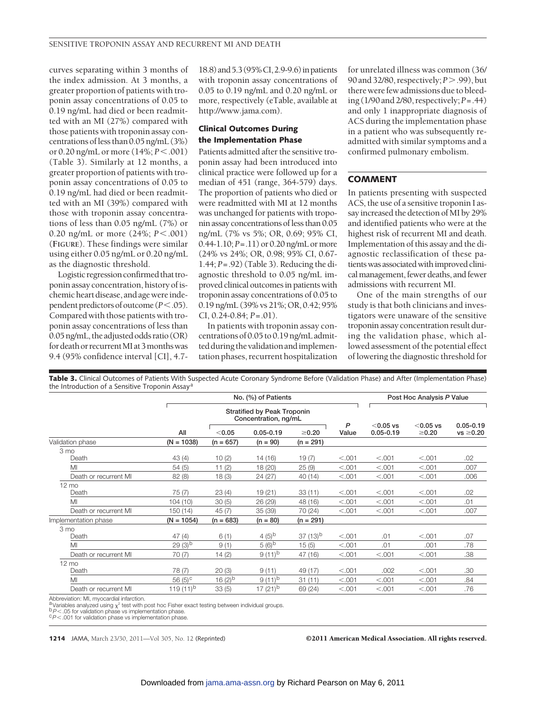curves separating within 3 months of the index admission. At 3 months, a greater proportion of patients with troponin assay concentrations of 0.05 to 0.19 ng/mL had died or been readmitted with an MI (27%) compared with those patients with troponin assay concentrations ofless than 0.05 ng/mL (3%) or 0.20 ng/mL or more (14%; *P*-.001) (Table 3). Similarly at 12 months, a greater proportion of patients with troponin assay concentrations of 0.05 to 0.19 ng/mL had died or been readmitted with an MI (39%) compared with those with troponin assay concentrations of less than 0.05 ng/mL (7%) or 0.20 ng/mL or more (24%;  $P < .001$ ) (**FIGURE**). These findings were similar using either 0.05 ng/mL or 0.20 ng/mL as the diagnostic threshold.

Logistic regression confirmed that troponin assay concentration, history of ischemic heart disease, and age wereindependent predictors of outcome ( $P$  < .05). Compared with those patients with troponin assay concentrations of less than  $0.05$  ng/mL, the adjusted odds ratio (OR) for death or recurrent MI at 3 months was 9.4 (95% confidence interval [CI], 4.718.8)and5.3(95%CI,2.9-9.6)inpatients with troponin assay concentrations of 0.05 to 0.19 ng/mL and 0.20 ng/mL or more, respectively (eTable, available at http://www.jama.com).

## **Clinical Outcomes During the Implementation Phase**

Patients admitted after the sensitive troponin assay had been introduced into clinical practice were followed up for a median of 451 (range, 364-579) days. The proportion of patients who died or were readmitted with MI at 12 months was unchanged for patients with troponin assay concentrations of less than 0.05 ng/mL (7% vs 5%; OR, 0.69; 95% CI, 0.44-1.10; *P*=.11) or 0.20 ng/mL ormore (24% vs 24%; OR, 0.98; 95% CI, 0.67- 1.44; *P*=.92) (Table 3). Reducing the diagnostic threshold to 0.05 ng/mL improved clinical outcomes in patients with troponin assay concentrations of 0.05 to 0.19 ng/mL (39% vs 21%; OR, 0.42; 95% CI, 0.24-0.84; *P*=.01).

In patients with troponin assay concentrations of 0.05 to 0.19 ng/mL admitted during thevalidation andimplementation phases, recurrent hospitalization

for unrelated illness was common (36/ 90 and 32/80, respectively;  $P > .99$ ), but there were few admissions due to bleeding (1/90 and 2/80, respectively;*P*=.44) and only 1 inappropriate diagnosis of ACS during the implementation phase in a patient who was subsequently readmitted with similar symptoms and a confirmed pulmonary embolism.

## **COMMENT**

In patients presenting with suspected ACS, the use of a sensitive troponin I assay increased the detection of MI by 29% and identified patients who were at the highest risk of recurrent MI and death. Implementation of this assay and the diagnostic reclassification of these patients was associated with improved clinical management, fewer deaths, and fewer admissions with recurrent MI.

One of the main strengths of our study is that both clinicians and investigators were unaware of the sensitive troponin assay concentration result during the validation phase, which allowed assessment of the potential effect of lowering the diagnostic threshold for

**Table 3.** Clinical Outcomes of Patients With Suspected Acute Coronary Syndrome Before (Validation Phase) and After (Implementation Phase) the Introduction of a Sensitive Troponin Assay<sup>a</sup>

|                       | No. (%) of Patients  |                                                            |                    |             |            |                              | Post Hoc Analysis P Value  |                                 |  |
|-----------------------|----------------------|------------------------------------------------------------|--------------------|-------------|------------|------------------------------|----------------------------|---------------------------------|--|
|                       |                      | <b>Stratified by Peak Troponin</b><br>Concentration, ng/mL |                    |             |            |                              |                            |                                 |  |
|                       | All                  | < 0.05                                                     | $0.05 - 0.19$      | $\geq 0.20$ | P<br>Value | $<$ 0.05 vs<br>$0.05 - 0.19$ | $<$ 0.05 vs<br>$\geq 0.20$ | $0.05 - 0.19$<br>$vs \geq 0.20$ |  |
| Validation phase      | $(N = 1038)$         | $(n = 657)$                                                | $(n = 90)$         | $(n = 291)$ |            |                              |                            |                                 |  |
| 3 mo                  |                      |                                                            |                    |             |            |                              |                            |                                 |  |
| Death                 | 43(4)                | 10(2)                                                      | 14 (16)            | 19(7)       | < 0.001    | < .001                       | < 0.001                    | .02                             |  |
| MI                    | 54(5)                | 11(2)                                                      | 18 (20)            | 25(9)       | < .001     | < .001                       | < .001                     | .007                            |  |
| Death or recurrent MI | 82(8)                | 18(3)                                                      | 24 (27)            | 40 (14)     | < .001     | < .001                       | < .001                     | .006                            |  |
| $12 \text{ mo}$       |                      |                                                            |                    |             |            |                              |                            |                                 |  |
| Death                 | 75(7)                | 23(4)                                                      | 19 (21)            | 33(11)      | < .001     | < 0.001                      | < 0.001                    | .02                             |  |
| MI                    | 104(10)              | 30(5)                                                      | 26 (29)            | 48 (16)     | < 0.001    | < .001                       | < .001                     | .01                             |  |
| Death or recurrent MI | 150 (14)             | 45(7)                                                      | 35(39)             | 70 (24)     | < 0.001    | < 0.001                      | < 0.001                    | .007                            |  |
| Implementation phase  | $(N = 1054)$         | $(n = 683)$                                                | $(n = 80)$         | $(n = 291)$ |            |                              |                            |                                 |  |
| 3 mo                  |                      |                                                            |                    |             |            |                              |                            |                                 |  |
| Death                 | 47(4)                | 6(1)                                                       | 4 (5) <sup>b</sup> | $37(13)^b$  | < 0.001    | .01                          | < 0.001                    | .07                             |  |
| MI                    | $29(3)$ <sup>b</sup> | 9(1)                                                       | $(6)^{b}$          | 15(5)       | < .001     | .01                          | .001                       | .78                             |  |
| Death or recurrent MI | 70(7)                | 14(2)                                                      | $9(11)^{b}$        | 47 (16)     | < .001     | < .001                       | < 0.001                    | .38                             |  |
| $12 \text{ mo}$       |                      |                                                            |                    |             |            |                              |                            |                                 |  |
| Death                 | 78 (7)               | 20(3)                                                      | 9(11)              | 49 (17)     | < .001     | .002                         | < .001                     | .30                             |  |
| MI                    | 56 $(5)^c$           | 16 $(2)^{b}$                                               | $9(11)^b$          | 31(11)      | < .001     | < .001                       | < 0.001                    | .84                             |  |
| Death or recurrent MI | 119 $(11)^{b}$       | 33(5)                                                      | 17 $(21)^{b}$      | 69 (24)     | < .001     | < 0.001                      | < .001                     | .76                             |  |
|                       |                      |                                                            |                    |             |            |                              |                            |                                 |  |

Abbreviation: MI, myocardial infarction.<br><sup>a v</sup>ariables analyzed using χ<sup>2</sup> test with post hoc Fisher exact testing between individual groups.<br><sup>b</sup>*P<*.05 for validation phase vs implementation phase.

<sup>D</sup>P<.05 for validation phase vs implementation phase.<br><sup>C</sup>P<.001 for validation phase vs implementation phase.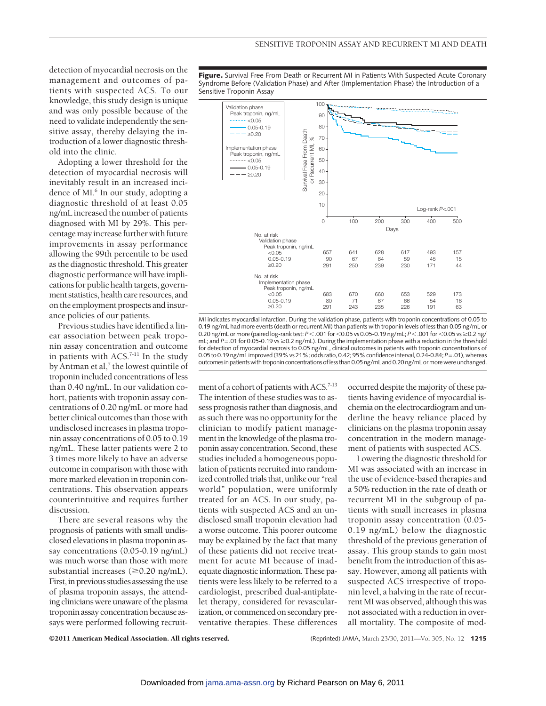0 100 200 300 400 500

Log-rank *P*<.001

Days

657 641 628 617 493 157 90 67 64 59 45 15 291 250 239 230 171 44

683 670 660 653 529 173 80 71 67 66 54 16 291 243 235 226 191 63

detection of myocardial necrosis on the management and outcomes of patients with suspected ACS. To our knowledge, this study design is unique and was only possible because of the need to validate independently the sensitive assay, thereby delaying the introduction of a lower diagnostic threshold into the clinic.

Adopting a lower threshold for the detection of myocardial necrosis will inevitably result in an increased incidence of MI.<sup>6</sup> In our study, adopting a diagnostic threshold of at least 0.05 ng/mL increased the number of patients diagnosed with MI by 29%. This percentage may increase further with future improvements in assay performance allowing the 99th percentile to be used as the diagnostic threshold. This greater diagnostic performance will have implicationsfor public health targets, government statistics, health care resources, and on the employment prospects andinsurance policies of our patients.

Previous studies have identified a linear association between peak troponin assay concentration and outcome in patients with  $ACS$ .<sup>7-11</sup> In the study by Antman et al,<sup>7</sup> the lowest quintile of troponin included concentrations of less than 0.40 ng/mL. In our validation cohort, patients with troponin assay concentrations of 0.20 ng/mL or more had better clinical outcomes than those with undisclosed increases in plasma troponin assay concentrations of 0.05 to 0.19 ng/mL. These latter patients were 2 to 3 times more likely to have an adverse outcome in comparison with those with more marked elevation in troponin concentrations. This observation appears counterintuitive and requires further discussion.

There are several reasons why the prognosis of patients with small undisclosed elevations in plasma troponin assay concentrations (0.05-0.19 ng/mL) was much worse than those with more substantial increases  $(\geq 0.20 \text{ ng/mL})$ . First, in previous studies assessing the use of plasma troponin assays, the attending clinicians were unaware of the plasma troponin assay concentration because assays were performed following recruit**Figure.** Survival Free From Death or Recurrent MI in Patients With Suspected Acute Coronary Syndrome Before (Validation Phase) and After (Implementation Phase) the Introduction of a Sensitive Troponin Assay

> 100 90 80

> > 40 50

Survival Free From Death or Recurrent MI, %

Survival Free From Death

30 20 10

MI indicates myocardial infarction. During the validation phase, patients with troponin concentrations of 0.05 to 0.19 ng/mL had more events (death or recurrent MI) than patients with troponin levels of less than 0.05 ng/mL or 0.20 ng/mL or more (paired log-rank test: *P* < .001 for <0.05 vs 0.05-0.19 ng/mL; *P* < .001 for <0.05 vs ≥0.2 ng/ mL; and  $P = .01$  for 0.05-0.19 vs  $\ge 0.2$  ng/mL). During the implementation phase with a reduction in the threshold for detection of myocardial necrosis to 0.05 ng/mL, clinical outcomes in patients with troponin concentrations of

70 60

 $\%$ 

Recurrent MI,

 $\overline{\sigma}$ 

ment of a cohort of patients with ACS.<sup>7-13</sup> The intention of these studies was to assess prognosis rather than diagnosis, and as such there was no opportunity for the clinician to modify patient management in the knowledge of the plasma troponin assay concentration. Second, these studies included a homogeneous population of patients recruited into randomized controlled trials that, unlike our "real world" population, were uniformly treated for an ACS. In our study, patients with suspected ACS and an undisclosed small troponin elevation had a worse outcome. This poorer outcome may be explained by the fact that many of these patients did not receive treatment for acute MI because of inadequate diagnostic information. These patients were less likely to be referred to a cardiologist, prescribed dual-antiplatelet therapy, considered for revascularization, or commenced on secondary preventative therapies. These differences 0.05 to 0.19 ng/mL improved (39% vs 21%; odds ratio, 0.42; 95% confidence interval, 0.24-0.84;*P*=.01), whereas outcomes in patientswith troponin concentrations of less than 0.05 ng/mL and 0.20 ng/mL ormorewere unchanged.

No. at risk Validation phase Peak troponin, ng/mL  $< 0.05$ 0.05-0.19 ≥0.20

Peak troponin, ng/mL Validation phase  $\cdot$  <0.05 0.05-0.19 ≥0.20 Implementation phase Peak troponin, ng/mL  $\cdots$  < 0.05  $-0.05 - 0.19$  $-20.20$ 

No. at risk

Implementation phase Peak troponin, ng/mL  $< 0.05$ 0.05-0.19 ≥0.20

> occurred despite themajority of these patients having evidence of myocardial ischemia on the electrocardiogram and underline the heavy reliance placed by clinicians on the plasma troponin assay concentration in the modern management of patients with suspected ACS.

> Lowering the diagnostic threshold for MI was associated with an increase in the use of evidence-based therapies and a 50% reduction in the rate of death or recurrent MI in the subgroup of patients with small increases in plasma troponin assay concentration (0.05- 0.19 ng/mL) below the diagnostic threshold of the previous generation of assay. This group stands to gain most benefit from the introduction of this assay. However, among all patients with suspected ACS irrespective of troponin level, a halving in the rate of recurrent MI was observed, although this was not associated with a reduction in overall mortality. The composite of mod-

©2011 American Medical Association. All rights reserved. (Reprinted) JAMA, March 23/30, 2011—Vol 305, No. 12 **1215**